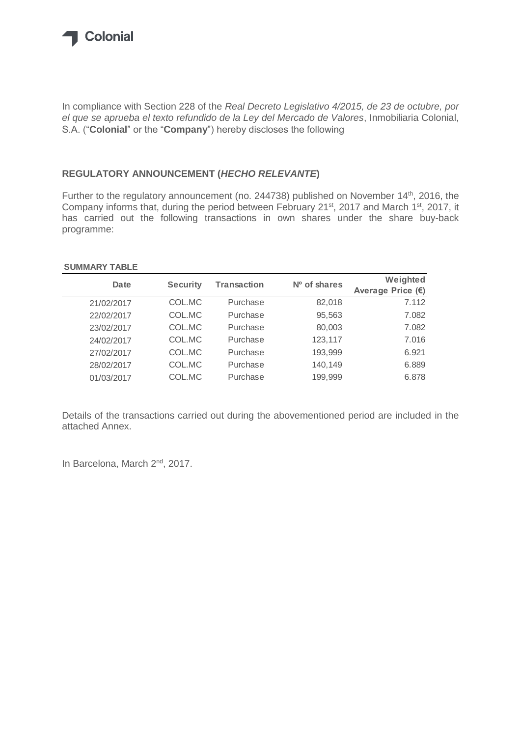

In compliance with Section 228 of the *Real Decreto Legislativo 4/2015, de 23 de octubre, por el que se aprueba el texto refundido de la Ley del Mercado de Valores*, Inmobiliaria Colonial, S.A. ("**Colonial**" or the "**Company**") hereby discloses the following

## **REGULATORY ANNOUNCEMENT (***HECHO RELEVANTE***)**

Further to the regulatory announcement (no. 244738) published on November 14<sup>th</sup>, 2016, the Company informs that, during the period between February 21<sup>st</sup>, 2017 and March 1<sup>st</sup>, 2017, it has carried out the following transactions in own shares under the share buy-back programme:

## **SUMMARY TABLE**

| Date       | <b>Security</b> | <b>Transaction</b> | $No$ of shares | Weighted<br>Average Price (€) |
|------------|-----------------|--------------------|----------------|-------------------------------|
| 21/02/2017 | COL.MC          | Purchase           | 82,018         | 7.112                         |
| 22/02/2017 | COL.MC          | Purchase           | 95,563         | 7.082                         |
| 23/02/2017 | COL.MC          | Purchase           | 80,003         | 7.082                         |
| 24/02/2017 | COL.MC          | Purchase           | 123,117        | 7.016                         |
| 27/02/2017 | COL.MC          | Purchase           | 193,999        | 6.921                         |
| 28/02/2017 | COL.MC          | Purchase           | 140,149        | 6.889                         |
| 01/03/2017 | COL.MC          | Purchase           | 199,999        | 6.878                         |

Details of the transactions carried out during the abovementioned period are included in the attached Annex.

In Barcelona, March 2<sup>nd</sup>, 2017.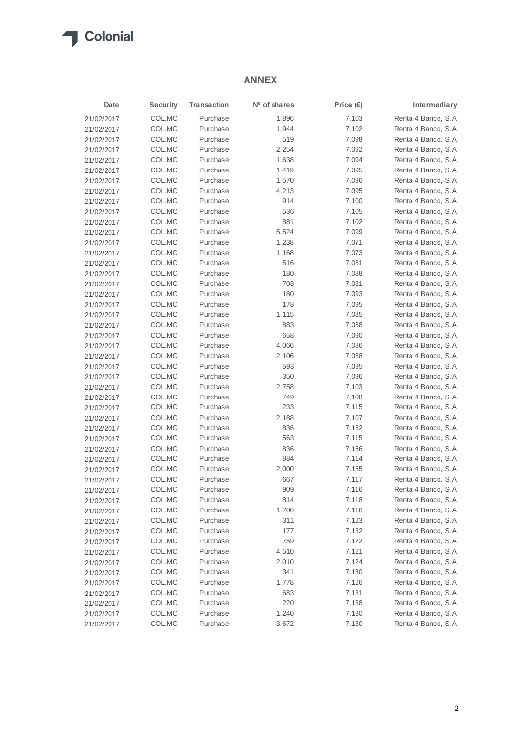

## **ANNEX**

| Date       | <b>Security</b> | <b>Transaction</b> | Nº of shares | Price $(\epsilon)$ | Intermediary       |
|------------|-----------------|--------------------|--------------|--------------------|--------------------|
| 21/02/2017 | COL.MC          | Purchase           | 1,896        | 7.103              | Renta 4 Banco, S.A |
| 21/02/2017 | COL.MC          | Purchase           | 1,944        | 7.102              | Renta 4 Banco, S.A |
| 21/02/2017 | COL.MC          | Purchase           | 519          | 7.098              | Renta 4 Banco, S.A |
| 21/02/2017 | COL.MC          | Purchase           | 2,254        | 7.092              | Renta 4 Banco, S.A |
| 21/02/2017 | COL.MC          | Purchase           | 1,638        | 7.094              | Renta 4 Banco, S.A |
| 21/02/2017 | COL.MC          | Purchase           | 1,419        | 7.095              | Renta 4 Banco, S.A |
| 21/02/2017 | COL.MC          | Purchase           | 1,570        | 7.096              | Renta 4 Banco, S.A |
| 21/02/2017 | COL.MC          | Purchase           | 4,213        | 7.095              | Renta 4 Banco, S.A |
| 21/02/2017 | COL.MC          | Purchase           | 914          | 7.100              | Renta 4 Banco, S.A |
| 21/02/2017 | COL.MC          | Purchase           | 536          | 7.105              | Renta 4 Banco, S.A |
| 21/02/2017 | COL.MC          | Purchase           | 881          | 7.102              | Renta 4 Banco, S.A |
| 21/02/2017 | COL.MC          | Purchase           | 5,524        | 7.099              | Renta 4 Banco, S.A |
| 21/02/2017 | COL.MC          | Purchase           | 1,238        | 7.071              | Renta 4 Banco, S.A |
| 21/02/2017 | COL.MC          | Purchase           | 1,168        | 7.073              | Renta 4 Banco, S.A |
| 21/02/2017 | COL.MC          | Purchase           | 516          | 7.081              | Renta 4 Banco, S.A |
| 21/02/2017 | COL.MC          | Purchase           | 180          | 7.088              | Renta 4 Banco, S.A |
| 21/02/2017 | COL.MC          | Purchase           | 703          | 7.081              | Renta 4 Banco, S.A |
| 21/02/2017 | COL.MC          | Purchase           | 180          | 7.093              | Renta 4 Banco, S.A |
| 21/02/2017 | COL.MC          | Purchase           | 178          | 7.095              | Renta 4 Banco, S.A |
| 21/02/2017 | COL.MC          | Purchase           | 1,115        | 7.085              | Renta 4 Banco, S.A |
| 21/02/2017 | COL.MC          | Purchase           | 883          | 7.088              | Renta 4 Banco, S.A |
| 21/02/2017 | COL.MC          | Purchase           | 658          | 7.090              | Renta 4 Banco, S.A |
| 21/02/2017 | COL.MC          | Purchase           | 4,066        | 7.086              | Renta 4 Banco, S.A |
| 21/02/2017 | COL.MC          | Purchase           | 2,106        | 7.088              | Renta 4 Banco, S.A |
| 21/02/2017 | COL.MC          | Purchase           | 593          | 7.095              | Renta 4 Banco, S.A |
| 21/02/2017 | COL.MC          | Purchase           | 350          | 7.096              | Renta 4 Banco, S.A |
| 21/02/2017 | COL.MC          | Purchase           | 2,758        | 7.103              | Renta 4 Banco, S.A |
| 21/02/2017 | COL.MC          | Purchase           | 749          | 7.108              | Renta 4 Banco, S.A |
| 21/02/2017 | COL.MC          | Purchase           | 233          | 7.115              | Renta 4 Banco, S.A |
| 21/02/2017 | COL.MC          | Purchase           | 2,188        | 7.107              | Renta 4 Banco, S.A |
| 21/02/2017 | COL.MC          | Purchase           | 836          | 7.152              | Renta 4 Banco, S.A |
| 21/02/2017 | COL.MC          | Purchase           | 563          | 7.115              | Renta 4 Banco, S.A |
| 21/02/2017 | COL.MC          | Purchase           | 836          | 7.156              | Renta 4 Banco, S.A |
| 21/02/2017 | COL.MC          | Purchase           | 884          | 7.114              | Renta 4 Banco, S.A |
| 21/02/2017 | COL.MC          | Purchase           | 2,000        | 7.155              | Renta 4 Banco, S.A |
| 21/02/2017 | COL.MC          | Purchase           | 667          | 7.117              | Renta 4 Banco, S.A |
| 21/02/2017 | COL.MC          | Purchase           | 909          | 7.116              | Renta 4 Banco, S.A |
| 21/02/2017 | COL.MC          | Purchase           | 814          | 7.118              | Renta 4 Banco, S.A |
| 21/02/2017 | COL.MC          | Purchase           | 1,700        | 7.116              | Renta 4 Banco, S.A |
| 21/02/2017 | COL.MC          | Purchase           | 311          | 7.123              | Renta 4 Banco, S.A |
| 21/02/2017 | COL.MC          | Purchase           | 177          | 7.132              | Renta 4 Banco, S.A |
| 21/02/2017 | COL.MC          | Purchase           | 759          | 7.122              | Renta 4 Banco, S.A |
| 21/02/2017 | COL.MC          | Purchase           | 4,510        | 7.121              | Renta 4 Banco, S.A |
| 21/02/2017 | COL.MC          | Purchase           | 2,010        | 7.124              | Renta 4 Banco, S.A |
| 21/02/2017 | COL.MC          | Purchase           | 341          | 7.130              | Renta 4 Banco, S.A |
| 21/02/2017 | COL.MC          | Purchase           | 1,778        | 7.126              | Renta 4 Banco, S.A |
| 21/02/2017 | COL.MC          | Purchase           | 683          | 7.131              | Renta 4 Banco, S.A |
| 21/02/2017 | COL.MC          | Purchase           | 220          | 7.138              | Renta 4 Banco, S.A |
| 21/02/2017 | COL.MC          | Purchase           | 1,240        | 7.130              | Renta 4 Banco, S.A |
| 21/02/2017 | COL.MC          | Purchase           | 3,672        | 7.130              | Renta 4 Banco, S.A |
|            |                 |                    |              |                    |                    |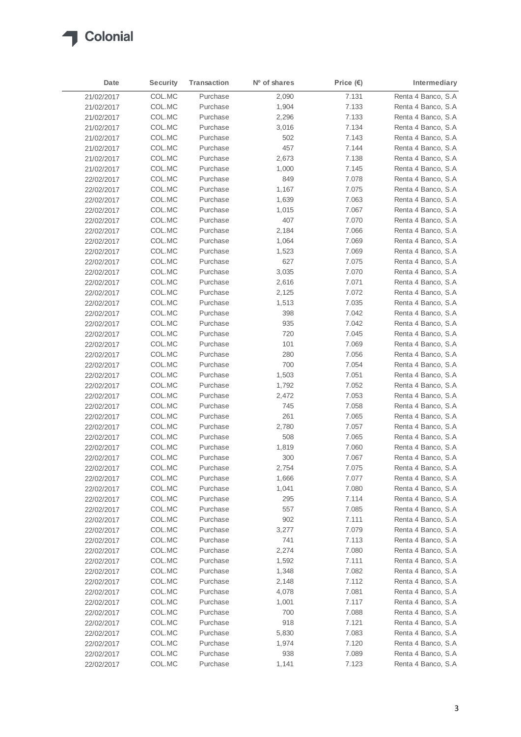

| Date       | <b>Security</b> | <b>Transaction</b> | N <sup>o</sup> of shares | Price $(E)$ | Intermediary        |
|------------|-----------------|--------------------|--------------------------|-------------|---------------------|
| 21/02/2017 | COL.MC          | Purchase           | 2,090                    | 7.131       | Renta 4 Banco, S.A  |
| 21/02/2017 | COL.MC          | Purchase           | 1,904                    | 7.133       | Renta 4 Banco, S.A. |
| 21/02/2017 | COL.MC          | Purchase           | 2,296                    | 7.133       | Renta 4 Banco, S.A  |
| 21/02/2017 | COL.MC          | Purchase           | 3,016                    | 7.134       | Renta 4 Banco, S.A. |
| 21/02/2017 | COL.MC          | Purchase           | 502                      | 7.143       | Renta 4 Banco, S.A  |
| 21/02/2017 | COL.MC          | Purchase           | 457                      | 7.144       | Renta 4 Banco, S.A  |
| 21/02/2017 | COL.MC          | Purchase           | 2,673                    | 7.138       | Renta 4 Banco, S.A  |
| 21/02/2017 | COL.MC          | Purchase           | 1,000                    | 7.145       | Renta 4 Banco, S.A  |
| 22/02/2017 | COL.MC          | Purchase           | 849                      | 7.078       | Renta 4 Banco, S.A  |
| 22/02/2017 | COL.MC          | Purchase           | 1,167                    | 7.075       | Renta 4 Banco, S.A  |
| 22/02/2017 | COL.MC          | Purchase           | 1,639                    | 7.063       | Renta 4 Banco, S.A. |
| 22/02/2017 | COL.MC          | Purchase           | 1,015                    | 7.067       | Renta 4 Banco, S.A  |
| 22/02/2017 | COL.MC          | Purchase           | 407                      | 7.070       | Renta 4 Banco, S.A  |
| 22/02/2017 | COL.MC          | Purchase           | 2,184                    | 7.066       | Renta 4 Banco, S.A  |
| 22/02/2017 | COL.MC          | Purchase           | 1,064                    | 7.069       | Renta 4 Banco, S.A  |
| 22/02/2017 | COL.MC          | Purchase           | 1,523                    | 7.069       | Renta 4 Banco, S.A  |
| 22/02/2017 | COL.MC          | Purchase           | 627                      | 7.075       | Renta 4 Banco, S.A  |
| 22/02/2017 | COL.MC          | Purchase           | 3,035                    | 7.070       | Renta 4 Banco, S.A  |
| 22/02/2017 | COL.MC          | Purchase           | 2,616                    | 7.071       | Renta 4 Banco, S.A  |
| 22/02/2017 | COL.MC          | Purchase           | 2,125                    | 7.072       | Renta 4 Banco, S.A  |
| 22/02/2017 | COL.MC          | Purchase           | 1,513                    | 7.035       | Renta 4 Banco, S.A  |
| 22/02/2017 | COL.MC          | Purchase           | 398                      | 7.042       | Renta 4 Banco, S.A  |
| 22/02/2017 | COL.MC          | Purchase           | 935                      | 7.042       | Renta 4 Banco, S.A  |
| 22/02/2017 | COL.MC          | Purchase           | 720                      | 7.045       | Renta 4 Banco, S.A  |
| 22/02/2017 | COL.MC          | Purchase           | 101                      | 7.069       | Renta 4 Banco, S.A  |
| 22/02/2017 | COL.MC          | Purchase           | 280                      | 7.056       | Renta 4 Banco, S.A  |
| 22/02/2017 | COL.MC          | Purchase           | 700                      | 7.054       | Renta 4 Banco, S.A  |
| 22/02/2017 | COL.MC          | Purchase           | 1,503                    | 7.051       | Renta 4 Banco, S.A  |
| 22/02/2017 | COL.MC          | Purchase           | 1,792                    | 7.052       | Renta 4 Banco, S.A  |
| 22/02/2017 | COL.MC          | Purchase           | 2,472                    | 7.053       | Renta 4 Banco, S.A  |
| 22/02/2017 | COL.MC          | Purchase           | 745                      | 7.058       | Renta 4 Banco, S.A  |
| 22/02/2017 | COL.MC          | Purchase           | 261                      | 7.065       | Renta 4 Banco, S.A  |
| 22/02/2017 | COL.MC          | Purchase           | 2,780                    | 7.057       | Renta 4 Banco, S.A  |
| 22/02/2017 | COL.MC          | Purchase           | 508                      | 7.065       | Renta 4 Banco, S.A  |
| 22/02/2017 | COL.MC          | Purchase           | 1,819                    | 7.060       | Renta 4 Banco, S.A  |
| 22/02/2017 | COL.MC          | Purchase           | 300                      | 7.067       | Renta 4 Banco, S.A  |
| 22/02/2017 | COL.MC          | Purchase           | 2,754                    | 7.075       | Renta 4 Banco, S.A  |
| 22/02/2017 | COL.MC          | Purchase           | 1,666                    | 7.077       | Renta 4 Banco, S.A  |
| 22/02/2017 | COL.MC          | Purchase           | 1,041                    | 7.080       | Renta 4 Banco, S.A  |
| 22/02/2017 | COL.MC          | Purchase           | 295                      | 7.114       | Renta 4 Banco, S.A  |
| 22/02/2017 | COL.MC          | Purchase           | 557                      | 7.085       | Renta 4 Banco, S.A  |
| 22/02/2017 | COL.MC          | Purchase           | 902                      | 7.111       | Renta 4 Banco, S.A  |
| 22/02/2017 | COL.MC          | Purchase           | 3,277                    | 7.079       | Renta 4 Banco, S.A  |
| 22/02/2017 | COL.MC          | Purchase           | 741                      | 7.113       | Renta 4 Banco, S.A  |
| 22/02/2017 | COL.MC          | Purchase           | 2,274                    | 7.080       | Renta 4 Banco, S.A  |
| 22/02/2017 | COL.MC          | Purchase           | 1,592                    | 7.111       | Renta 4 Banco, S.A  |
| 22/02/2017 | COL.MC          | Purchase           | 1,348                    | 7.082       | Renta 4 Banco, S.A  |
| 22/02/2017 | COL.MC          | Purchase           | 2,148                    | 7.112       | Renta 4 Banco, S.A  |
| 22/02/2017 | COL.MC          | Purchase           | 4,078                    | 7.081       | Renta 4 Banco, S.A  |
| 22/02/2017 | COL.MC          | Purchase           | 1,001                    | 7.117       | Renta 4 Banco, S.A  |
| 22/02/2017 | COL.MC          | Purchase           | 700                      | 7.088       | Renta 4 Banco, S.A  |
| 22/02/2017 | COL.MC          | Purchase           | 918                      | 7.121       | Renta 4 Banco, S.A  |
| 22/02/2017 | COL.MC          | Purchase           | 5,830                    | 7.083       | Renta 4 Banco, S.A  |
| 22/02/2017 | COL.MC          | Purchase           | 1,974                    | 7.120       | Renta 4 Banco, S.A  |
| 22/02/2017 | COL.MC          | Purchase           | 938                      | 7.089       | Renta 4 Banco, S.A  |
| 22/02/2017 | COL.MC          | Purchase           | 1,141                    | 7.123       | Renta 4 Banco, S.A  |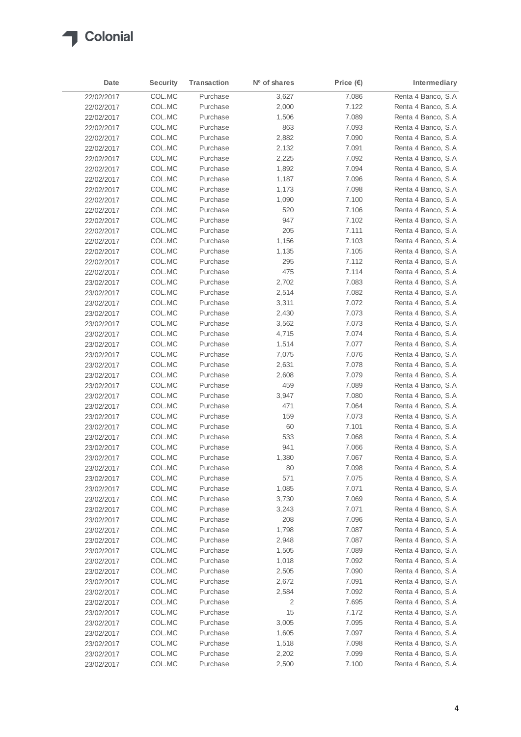

| Date       | <b>Security</b> | <b>Transaction</b> | Nº of shares | Price $(E)$ | Intermediary        |
|------------|-----------------|--------------------|--------------|-------------|---------------------|
| 22/02/2017 | COL.MC          | Purchase           | 3,627        | 7.086       | Renta 4 Banco, S.A  |
| 22/02/2017 | COL.MC          | Purchase           | 2,000        | 7.122       | Renta 4 Banco, S.A. |
| 22/02/2017 | COL.MC          | Purchase           | 1,506        | 7.089       | Renta 4 Banco, S.A  |
| 22/02/2017 | COL.MC          | Purchase           | 863          | 7.093       | Renta 4 Banco, S.A  |
| 22/02/2017 | COL.MC          | Purchase           | 2,882        | 7.090       | Renta 4 Banco, S.A  |
| 22/02/2017 | COL.MC          | Purchase           | 2,132        | 7.091       | Renta 4 Banco, S.A. |
| 22/02/2017 | COL.MC          | Purchase           | 2,225        | 7.092       | Renta 4 Banco, S.A  |
| 22/02/2017 | COL.MC          | Purchase           | 1,892        | 7.094       | Renta 4 Banco, S.A  |
| 22/02/2017 | COL.MC          | Purchase           | 1,187        | 7.096       | Renta 4 Banco, S.A  |
| 22/02/2017 | COL.MC          | Purchase           | 1,173        | 7.098       | Renta 4 Banco, S.A  |
| 22/02/2017 | COL.MC          | Purchase           | 1,090        | 7.100       | Renta 4 Banco, S.A. |
| 22/02/2017 | COL.MC          | Purchase           | 520          | 7.106       | Renta 4 Banco, S.A  |
| 22/02/2017 | COL.MC          | Purchase           | 947          | 7.102       | Renta 4 Banco, S.A. |
| 22/02/2017 | COL.MC          | Purchase           | 205          | 7.111       | Renta 4 Banco, S.A  |
| 22/02/2017 | COL.MC          | Purchase           | 1,156        | 7.103       | Renta 4 Banco, S.A  |
| 22/02/2017 | COL.MC          | Purchase           | 1,135        | 7.105       | Renta 4 Banco, S.A  |
| 22/02/2017 | COL.MC          | Purchase           | 295          | 7.112       | Renta 4 Banco, S.A  |
| 22/02/2017 | COL.MC          | Purchase           | 475          | 7.114       | Renta 4 Banco, S.A  |
| 23/02/2017 | COL.MC          | Purchase           | 2,702        | 7.083       | Renta 4 Banco, S.A  |
| 23/02/2017 | COL.MC          | Purchase           | 2,514        | 7.082       | Renta 4 Banco, S.A  |
| 23/02/2017 | COL.MC          | Purchase           | 3,311        | 7.072       | Renta 4 Banco, S.A  |
| 23/02/2017 | COL.MC          | Purchase           | 2,430        | 7.073       | Renta 4 Banco, S.A  |
| 23/02/2017 | COL.MC          | Purchase           | 3,562        | 7.073       | Renta 4 Banco, S.A  |
| 23/02/2017 | COL.MC          | Purchase           | 4,715        | 7.074       | Renta 4 Banco, S.A  |
| 23/02/2017 | COL.MC          | Purchase           | 1,514        | 7.077       | Renta 4 Banco, S.A  |
| 23/02/2017 | COL.MC          | Purchase           | 7,075        | 7.076       | Renta 4 Banco, S.A  |
| 23/02/2017 | COL.MC          | Purchase           | 2,631        | 7.078       | Renta 4 Banco, S.A  |
| 23/02/2017 | COL.MC          | Purchase           | 2,608        | 7.079       | Renta 4 Banco, S.A  |
| 23/02/2017 | COL.MC          | Purchase           | 459          | 7.089       | Renta 4 Banco, S.A. |
| 23/02/2017 | COL.MC          | Purchase           | 3,947        | 7.080       | Renta 4 Banco, S.A  |
| 23/02/2017 | COL.MC          | Purchase           | 471          | 7.064       | Renta 4 Banco, S.A  |
| 23/02/2017 | COL.MC          | Purchase           | 159          | 7.073       | Renta 4 Banco, S.A  |
| 23/02/2017 | COL.MC          | Purchase           | 60           | 7.101       | Renta 4 Banco, S.A  |
| 23/02/2017 | COL.MC          | Purchase           | 533          | 7.068       | Renta 4 Banco, S.A  |
| 23/02/2017 | COL.MC          | Purchase           | 941          | 7.066       | Renta 4 Banco, S.A  |
| 23/02/2017 | COL.MC          | Purchase           | 1,380        | 7.067       | Renta 4 Banco, S.A  |
| 23/02/2017 | COL.MC          | Purchase           | 80           | 7.098       | Renta 4 Banco, S.A  |
| 23/02/2017 | COL.MC          | Purchase           | 571          | 7.075       | Renta 4 Banco, S.A  |
| 23/02/2017 | COL.MC          | Purchase           | 1,085        | 7.071       | Renta 4 Banco, S.A  |
| 23/02/2017 | COL.MC          | Purchase           | 3,730        | 7.069       | Renta 4 Banco, S.A  |
| 23/02/2017 | COL.MC          | Purchase           | 3,243        | 7.071       | Renta 4 Banco, S.A  |
| 23/02/2017 | COL.MC          | Purchase           | 208          | 7.096       | Renta 4 Banco, S.A  |
| 23/02/2017 | COL.MC          | Purchase           | 1,798        | 7.087       | Renta 4 Banco, S.A  |
| 23/02/2017 | COL.MC          | Purchase           | 2,948        | 7.087       | Renta 4 Banco, S.A  |
| 23/02/2017 | COL.MC          | Purchase           | 1,505        | 7.089       | Renta 4 Banco, S.A  |
| 23/02/2017 | COL.MC          | Purchase           | 1,018        | 7.092       | Renta 4 Banco, S.A  |
| 23/02/2017 | COL.MC          | Purchase           | 2,505        | 7.090       | Renta 4 Banco, S.A  |
| 23/02/2017 | COL.MC          | Purchase           | 2,672        | 7.091       | Renta 4 Banco, S.A  |
| 23/02/2017 | COL.MC          | Purchase           | 2,584        | 7.092       | Renta 4 Banco, S.A  |
| 23/02/2017 | COL.MC          | Purchase           | 2            | 7.695       | Renta 4 Banco, S.A  |
| 23/02/2017 | COL.MC          | Purchase           | 15           | 7.172       | Renta 4 Banco, S.A  |
| 23/02/2017 | COL.MC          | Purchase           | 3,005        | 7.095       | Renta 4 Banco, S.A  |
| 23/02/2017 | COL.MC          | Purchase           | 1,605        | 7.097       | Renta 4 Banco, S.A  |
| 23/02/2017 | COL.MC          | Purchase           | 1,518        | 7.098       | Renta 4 Banco, S.A  |
| 23/02/2017 | COL.MC          | Purchase           | 2,202        | 7.099       | Renta 4 Banco, S.A  |
| 23/02/2017 | COL.MC          | Purchase           | 2,500        | 7.100       | Renta 4 Banco, S.A  |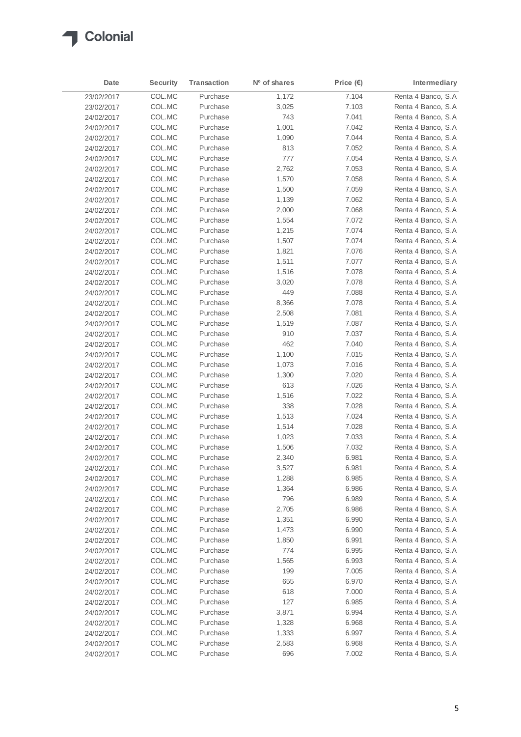

| Date       | <b>Security</b> | <b>Transaction</b> | Nº of shares | Price $(\epsilon)$ | Intermediary        |
|------------|-----------------|--------------------|--------------|--------------------|---------------------|
| 23/02/2017 | COL.MC          | Purchase           | 1,172        | 7.104              | Renta 4 Banco, S.A  |
| 23/02/2017 | COL.MC          | Purchase           | 3,025        | 7.103              | Renta 4 Banco, S.A. |
| 24/02/2017 | COL.MC          | Purchase           | 743          | 7.041              | Renta 4 Banco, S.A  |
| 24/02/2017 | COL.MC          | Purchase           | 1,001        | 7.042              | Renta 4 Banco, S.A  |
| 24/02/2017 | COL.MC          | Purchase           | 1,090        | 7.044              | Renta 4 Banco, S.A  |
| 24/02/2017 | COL.MC          | Purchase           | 813          | 7.052              | Renta 4 Banco, S.A  |
| 24/02/2017 | COL.MC          | Purchase           | 777          | 7.054              | Renta 4 Banco, S.A  |
| 24/02/2017 | COL.MC          | Purchase           | 2,762        | 7.053              | Renta 4 Banco, S.A  |
| 24/02/2017 | COL.MC          | Purchase           | 1,570        | 7.058              | Renta 4 Banco, S.A  |
| 24/02/2017 | COL.MC          | Purchase           | 1,500        | 7.059              | Renta 4 Banco, S.A  |
| 24/02/2017 | COL.MC          | Purchase           | 1,139        | 7.062              | Renta 4 Banco, S.A. |
| 24/02/2017 | COL.MC          | Purchase           | 2,000        | 7.068              | Renta 4 Banco, S.A  |
| 24/02/2017 | COL.MC          | Purchase           | 1,554        | 7.072              | Renta 4 Banco, S.A  |
| 24/02/2017 | COL.MC          | Purchase           | 1,215        | 7.074              | Renta 4 Banco, S.A  |
| 24/02/2017 | COL.MC          | Purchase           | 1,507        | 7.074              | Renta 4 Banco, S.A  |
| 24/02/2017 | COL.MC          | Purchase           | 1,821        | 7.076              | Renta 4 Banco, S.A  |
| 24/02/2017 | COL.MC          | Purchase           | 1,511        | 7.077              | Renta 4 Banco, S.A  |
| 24/02/2017 | COL.MC          | Purchase           | 1,516        | 7.078              | Renta 4 Banco, S.A  |
| 24/02/2017 | COL.MC          | Purchase           | 3,020        | 7.078              | Renta 4 Banco, S.A  |
| 24/02/2017 | COL.MC          | Purchase           | 449          | 7.088              | Renta 4 Banco, S.A  |
| 24/02/2017 | COL.MC          | Purchase           | 8,366        | 7.078              | Renta 4 Banco, S.A  |
| 24/02/2017 | COL.MC          | Purchase           | 2,508        | 7.081              | Renta 4 Banco, S.A  |
| 24/02/2017 | COL.MC          | Purchase           | 1,519        | 7.087              | Renta 4 Banco, S.A  |
| 24/02/2017 | COL.MC          | Purchase           | 910          | 7.037              | Renta 4 Banco, S.A  |
| 24/02/2017 | COL.MC          | Purchase           | 462          | 7.040              | Renta 4 Banco, S.A  |
| 24/02/2017 | COL.MC          | Purchase           | 1,100        | 7.015              | Renta 4 Banco, S.A  |
| 24/02/2017 | COL.MC          | Purchase           | 1,073        | 7.016              | Renta 4 Banco, S.A  |
| 24/02/2017 | COL.MC          | Purchase           | 1,300        | 7.020              | Renta 4 Banco, S.A  |
| 24/02/2017 | COL.MC          | Purchase           | 613          | 7.026              | Renta 4 Banco, S.A  |
| 24/02/2017 | COL.MC          | Purchase           | 1,516        | 7.022              | Renta 4 Banco, S.A  |
| 24/02/2017 | COL.MC          | Purchase           | 338          | 7.028              | Renta 4 Banco, S.A  |
| 24/02/2017 | COL.MC          | Purchase           | 1,513        | 7.024              | Renta 4 Banco, S.A  |
| 24/02/2017 | COL.MC          | Purchase           | 1,514        | 7.028              | Renta 4 Banco, S.A  |
| 24/02/2017 | COL.MC          | Purchase           | 1,023        | 7.033              | Renta 4 Banco, S.A  |
| 24/02/2017 | COL.MC          | Purchase           | 1,506        | 7.032              | Renta 4 Banco, S.A  |
| 24/02/2017 | COL.MC          | Purchase           | 2,340        | 6.981              | Renta 4 Banco, S.A  |
| 24/02/2017 | COL.MC          | Purchase           | 3,527        | 6.981              | Renta 4 Banco, S.A  |
| 24/02/2017 | COL.MC          | Purchase           | 1,288        | 6.985              | Renta 4 Banco, S.A  |
| 24/02/2017 | COL.MC          | Purchase           | 1,364        | 6.986              | Renta 4 Banco, S.A  |
| 24/02/2017 | COL.MC          | Purchase           | 796          | 6.989              | Renta 4 Banco, S.A  |
| 24/02/2017 | COL.MC          | Purchase           | 2,705        | 6.986              | Renta 4 Banco, S.A  |
| 24/02/2017 | COL.MC          | Purchase           | 1,351        | 6.990              | Renta 4 Banco, S.A  |
| 24/02/2017 | COL.MC          | Purchase           | 1,473        | 6.990              | Renta 4 Banco, S.A  |
| 24/02/2017 | COL.MC          | Purchase           | 1,850        | 6.991              | Renta 4 Banco, S.A  |
| 24/02/2017 | COL.MC          | Purchase           | 774          | 6.995              | Renta 4 Banco, S.A  |
| 24/02/2017 | COL.MC          | Purchase           | 1,565        | 6.993              | Renta 4 Banco, S.A  |
| 24/02/2017 | COL.MC          | Purchase           | 199          | 7.005              | Renta 4 Banco, S.A  |
| 24/02/2017 | COL.MC          | Purchase           | 655          | 6.970              | Renta 4 Banco, S.A  |
| 24/02/2017 | COL.MC          | Purchase           | 618          | 7.000              | Renta 4 Banco, S.A  |
| 24/02/2017 | COL.MC          | Purchase           | 127          | 6.985              | Renta 4 Banco, S.A  |
| 24/02/2017 | COL.MC          | Purchase           | 3,871        | 6.994              | Renta 4 Banco, S.A  |
| 24/02/2017 | COL.MC          | Purchase           | 1,328        | 6.968              | Renta 4 Banco, S.A  |
| 24/02/2017 | COL.MC          | Purchase           | 1,333        | 6.997              | Renta 4 Banco, S.A  |
| 24/02/2017 | COL.MC          | Purchase           | 2,583        | 6.968              | Renta 4 Banco, S.A  |
| 24/02/2017 | COL.MC          | Purchase           | 696          | 7.002              | Renta 4 Banco, S.A  |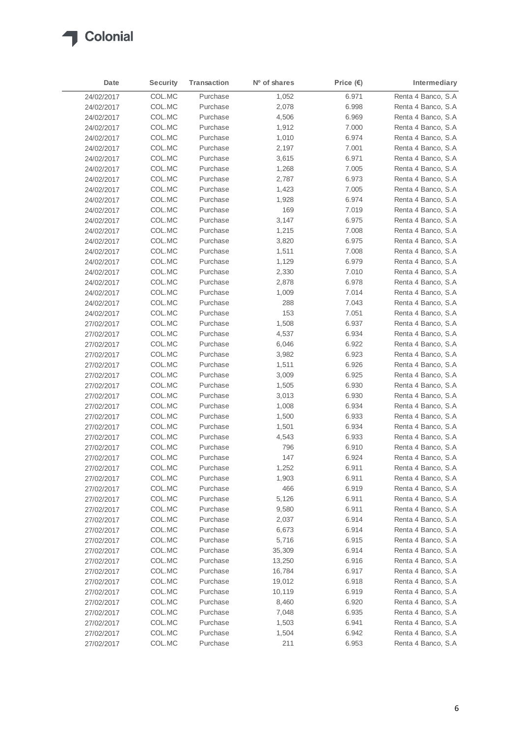

| Date       | <b>Security</b> | <b>Transaction</b> | Nº of shares | Price $(\epsilon)$ | Intermediary                             |
|------------|-----------------|--------------------|--------------|--------------------|------------------------------------------|
| 24/02/2017 | COL.MC          | Purchase           | 1,052        | 6.971              | Renta 4 Banco, S.A                       |
| 24/02/2017 | COL.MC          | Purchase           | 2,078        | 6.998              | Renta 4 Banco, S.A.                      |
| 24/02/2017 | COL.MC          | Purchase           | 4,506        | 6.969              | Renta 4 Banco, S.A                       |
| 24/02/2017 | COL.MC          | Purchase           | 1,912        | 7.000              | Renta 4 Banco, S.A                       |
| 24/02/2017 | COL.MC          | Purchase           | 1,010        | 6.974              | Renta 4 Banco, S.A                       |
| 24/02/2017 | COL.MC          | Purchase           | 2,197        | 7.001              | Renta 4 Banco, S.A                       |
| 24/02/2017 | COL.MC          | Purchase           | 3,615        | 6.971              | Renta 4 Banco, S.A                       |
| 24/02/2017 | COL.MC          | Purchase           | 1,268        | 7.005              | Renta 4 Banco, S.A                       |
| 24/02/2017 | COL.MC          | Purchase           | 2,787        | 6.973              | Renta 4 Banco, S.A.                      |
| 24/02/2017 | COL.MC          | Purchase           | 1,423        | 7.005              | Renta 4 Banco, S.A                       |
| 24/02/2017 | COL.MC          | Purchase           | 1,928        | 6.974              | Renta 4 Banco, S.A                       |
| 24/02/2017 | COL.MC          | Purchase           | 169          | 7.019              | Renta 4 Banco, S.A                       |
| 24/02/2017 | COL.MC          | Purchase           | 3,147        | 6.975              | Renta 4 Banco, S.A                       |
| 24/02/2017 | COL.MC          | Purchase           | 1,215        | 7.008              | Renta 4 Banco, S.A                       |
| 24/02/2017 | COL.MC          | Purchase           | 3,820        | 6.975              | Renta 4 Banco, S.A                       |
| 24/02/2017 | COL.MC          | Purchase           | 1,511        | 7.008              | Renta 4 Banco, S.A                       |
| 24/02/2017 | COL.MC          | Purchase           | 1,129        | 6.979              | Renta 4 Banco, S.A                       |
| 24/02/2017 | COL.MC          | Purchase           | 2,330        | 7.010              | Renta 4 Banco, S.A                       |
| 24/02/2017 | COL.MC          | Purchase           | 2,878        | 6.978              | Renta 4 Banco, S.A                       |
| 24/02/2017 | COL.MC          | Purchase           | 1,009        | 7.014              | Renta 4 Banco, S.A                       |
| 24/02/2017 | COL.MC          | Purchase           | 288          | 7.043              | Renta 4 Banco, S.A                       |
| 24/02/2017 | COL.MC          | Purchase           | 153          | 7.051              | Renta 4 Banco, S.A                       |
| 27/02/2017 | COL.MC          | Purchase           | 1,508        | 6.937              | Renta 4 Banco, S.A                       |
| 27/02/2017 | COL.MC          | Purchase           | 4,537        | 6.934              | Renta 4 Banco, S.A                       |
|            | COL.MC          | Purchase           | 6,046        | 6.922              | Renta 4 Banco, S.A                       |
| 27/02/2017 | COL.MC          | Purchase           | 3,982        | 6.923              | Renta 4 Banco, S.A                       |
| 27/02/2017 | COL.MC          | Purchase           |              | 6.926              | Renta 4 Banco, S.A                       |
| 27/02/2017 |                 | Purchase           | 1,511        |                    |                                          |
| 27/02/2017 | COL.MC          | Purchase           | 3,009        | 6.925              | Renta 4 Banco, S.A<br>Renta 4 Banco, S.A |
| 27/02/2017 | COL.MC          |                    | 1,505        | 6.930              |                                          |
| 27/02/2017 | COL.MC          | Purchase           | 3,013        | 6.930              | Renta 4 Banco, S.A                       |
| 27/02/2017 | COL.MC          | Purchase           | 1,008        | 6.934              | Renta 4 Banco, S.A                       |
| 27/02/2017 | COL.MC          | Purchase           | 1,500        | 6.933              | Renta 4 Banco, S.A                       |
| 27/02/2017 | COL.MC          | Purchase           | 1,501        | 6.934              | Renta 4 Banco, S.A                       |
| 27/02/2017 | COL.MC          | Purchase           | 4,543        | 6.933              | Renta 4 Banco, S.A<br>Renta 4 Banco, S.A |
| 27/02/2017 | COL.MC          | Purchase           | 796          | 6.910              |                                          |
| 27/02/2017 | COL.MC          | Purchase           | 147          | 6.924              | Renta 4 Banco, S.A                       |
| 27/02/2017 | COL.MC          | Purchase           | 1,252        | 6.911              | Renta 4 Banco, S.A                       |
| 27/02/2017 | COL.MC          | Purchase           | 1,903        | 6.911              | Renta 4 Banco, S.A                       |
| 27/02/2017 | COL.MC          | Purchase           | 466          | 6.919              | Renta 4 Banco, S.A                       |
| 27/02/2017 | COL.MC          | Purchase           | 5,126        | 6.911              | Renta 4 Banco, S.A                       |
| 27/02/2017 | COL.MC          | Purchase           | 9,580        | 6.911              | Renta 4 Banco, S.A                       |
| 27/02/2017 | COL.MC          | Purchase           | 2,037        | 6.914              | Renta 4 Banco, S.A                       |
| 27/02/2017 | COL.MC          | Purchase           | 6,673        | 6.914              | Renta 4 Banco, S.A                       |
| 27/02/2017 | COL.MC          | Purchase           | 5,716        | 6.915              | Renta 4 Banco, S.A                       |
| 27/02/2017 | COL.MC          | Purchase           | 35,309       | 6.914              | Renta 4 Banco, S.A                       |
| 27/02/2017 | COL.MC          | Purchase           | 13,250       | 6.916              | Renta 4 Banco, S.A                       |
| 27/02/2017 | COL.MC          | Purchase           | 16,784       | 6.917              | Renta 4 Banco, S.A                       |
| 27/02/2017 | COL.MC          | Purchase           | 19,012       | 6.918              | Renta 4 Banco, S.A                       |
| 27/02/2017 | COL.MC          | Purchase           | 10,119       | 6.919              | Renta 4 Banco, S.A                       |
| 27/02/2017 | COL.MC          | Purchase           | 8,460        | 6.920              | Renta 4 Banco, S.A                       |
| 27/02/2017 | COL.MC          | Purchase           | 7,048        | 6.935              | Renta 4 Banco, S.A                       |
| 27/02/2017 | COL.MC          | Purchase           | 1,503        | 6.941              | Renta 4 Banco, S.A                       |
| 27/02/2017 | COL.MC          | Purchase           | 1,504        | 6.942              | Renta 4 Banco, S.A                       |
| 27/02/2017 | COL.MC          | Purchase           | 211          | 6.953              | Renta 4 Banco, S.A                       |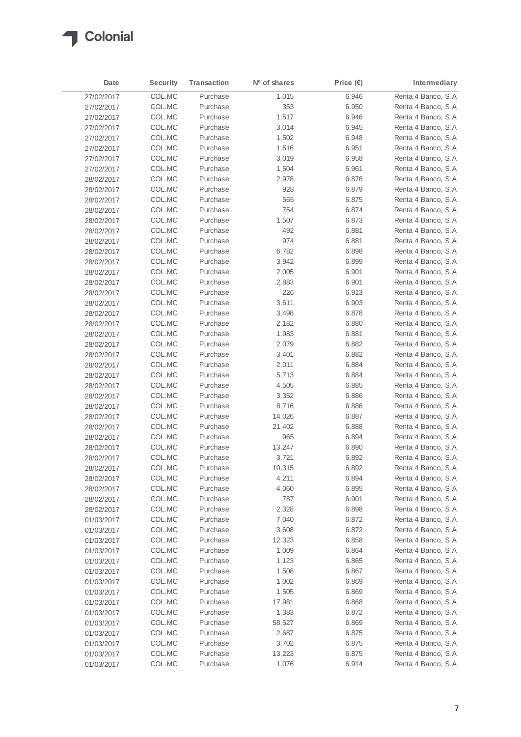

| Date       | <b>Security</b> | <b>Transaction</b>   | N <sup>o</sup> of shares | Price $(\epsilon)$ | Intermediary        |
|------------|-----------------|----------------------|--------------------------|--------------------|---------------------|
| 27/02/2017 | COL.MC          | Purchase             | 1,015                    | 6.946              | Renta 4 Banco, S.A  |
| 27/02/2017 | COL.MC          | Purchase             | 353                      | 6.950              | Renta 4 Banco, S.A. |
| 27/02/2017 | COL.MC          | Purchase             | 1,517                    | 6.946              | Renta 4 Banco, S.A  |
| 27/02/2017 | COL.MC          | Purchase             | 3,014                    | 6.945              | Renta 4 Banco, S.A  |
| 27/02/2017 | COL.MC          | Purchase             | 1,502                    | 6.948              | Renta 4 Banco, S.A  |
| 27/02/2017 | COL.MC          | Purchase             | 1,516                    | 6.951              | Renta 4 Banco, S.A  |
| 27/02/2017 | COL.MC          | Purchase             | 3,019                    | 6.958              | Renta 4 Banco, S.A  |
| 27/02/2017 | COL.MC          | Purchase             | 1,504                    | 6.961              | Renta 4 Banco, S.A  |
| 28/02/2017 | COL.MC          | Purchase             | 2,978                    | 6.876              | Renta 4 Banco, S.A  |
| 28/02/2017 | COL.MC          | Purchase             | 928                      | 6.879              | Renta 4 Banco, S.A  |
| 28/02/2017 | COL.MC          | Purchase             | 565                      | 6.875              | Renta 4 Banco, S.A  |
| 28/02/2017 | COL.MC          | Purchase             | 754                      | 6.874              | Renta 4 Banco, S.A  |
| 28/02/2017 | COL.MC          | Purchase             | 1,507                    | 6.873              | Renta 4 Banco, S.A  |
| 28/02/2017 | COL.MC          | Purchase             | 492                      | 6.881              | Renta 4 Banco, S.A  |
| 28/02/2017 | COL.MC          | Purchase             | 974                      | 6.881              | Renta 4 Banco, S.A  |
| 28/02/2017 | COL.MC          | Purchase             | 6,782                    | 6.898              | Renta 4 Banco, S.A  |
| 28/02/2017 | COL.MC          | Purchase             | 3,942                    | 6.899              | Renta 4 Banco, S.A  |
| 28/02/2017 | COL.MC          | Purchase             | 2,005                    | 6.901              | Renta 4 Banco, S.A  |
| 28/02/2017 | COL.MC          | Purchase             | 2,883                    | 6.901              | Renta 4 Banco, S.A  |
| 28/02/2017 | COL.MC          | Purchase             | 226                      | 6.913              | Renta 4 Banco, S.A  |
| 28/02/2017 | COL.MC          | Purchase             | 3,611                    | 6.903              | Renta 4 Banco, S.A  |
| 28/02/2017 | COL.MC          | Purchase             | 3,498                    | 6.878              | Renta 4 Banco, S.A  |
|            | COL.MC          | Purchase             | 2,182                    | 6.880              | Renta 4 Banco, S.A  |
| 28/02/2017 | COL.MC          | Purchase             |                          | 6.881              | Renta 4 Banco, S.A  |
| 28/02/2017 | COL.MC          | Purchase             | 1,983                    | 6.882              | Renta 4 Banco, S.A  |
| 28/02/2017 |                 |                      | 2,079                    |                    | Renta 4 Banco, S.A  |
| 28/02/2017 | COL.MC          | Purchase<br>Purchase | 3,401                    | 6.882              |                     |
| 28/02/2017 | COL.MC          |                      | 2,011                    | 6.884              | Renta 4 Banco, S.A  |
| 28/02/2017 | COL.MC          | Purchase             | 5,713                    | 6.884              | Renta 4 Banco, S.A  |
| 28/02/2017 | COL.MC          | Purchase             | 4,505                    | 6.885              | Renta 4 Banco, S.A  |
| 28/02/2017 | COL.MC          | Purchase             | 3,352                    | 6.886              | Renta 4 Banco, S.A  |
| 28/02/2017 | COL.MC          | Purchase             | 8,716                    | 6.886              | Renta 4 Banco, S.A  |
| 28/02/2017 | COL.MC          | Purchase             | 14,026                   | 6.887              | Renta 4 Banco, S.A  |
| 28/02/2017 | COL.MC          | Purchase             | 21,402                   | 6.888              | Renta 4 Banco, S.A  |
| 28/02/2017 | COL.MC          | Purchase             | 965                      | 6.894              | Renta 4 Banco, S.A  |
| 28/02/2017 | COL.MC          | Purchase             | 13,247                   | 6.890              | Renta 4 Banco, S.A  |
| 28/02/2017 | COL.MC          | Purchase             | 3,721                    | 6.892              | Renta 4 Banco, S.A  |
| 28/02/2017 | COL.MC          | Purchase             | 10,315                   | 6.892              | Renta 4 Banco, S.A  |
| 28/02/2017 | COL.MC          | Purchase             | 4,211                    | 6.894              | Renta 4 Banco, S.A  |
| 28/02/2017 | COL.MC          | Purchase             | 4,060                    | 6.895              | Renta 4 Banco, S.A  |
| 28/02/2017 | COL.MC          | Purchase             | 787                      | 6.901              | Renta 4 Banco, S.A  |
| 28/02/2017 | COL.MC          | Purchase             | 2,328                    | 6.898              | Renta 4 Banco, S.A  |
| 01/03/2017 | COL.MC          | Purchase             | 7,040                    | 6.872              | Renta 4 Banco, S.A  |
| 01/03/2017 | COL.MC          | Purchase             | 3,608                    | 6.872              | Renta 4 Banco, S.A  |
| 01/03/2017 | COL.MC          | Purchase             | 12,323                   | 6.858              | Renta 4 Banco, S.A  |
| 01/03/2017 | COL.MC          | Purchase             | 1,009                    | 6.864              | Renta 4 Banco, S.A  |
| 01/03/2017 | COL.MC          | Purchase             | 1,123                    | 6.865              | Renta 4 Banco, S.A  |
| 01/03/2017 | COL.MC          | Purchase             | 1,508                    | 6.867              | Renta 4 Banco, S.A  |
| 01/03/2017 | COL.MC          | Purchase             | 1,002                    | 6.869              | Renta 4 Banco, S.A  |
| 01/03/2017 | COL.MC          | Purchase             | 1,505                    | 6.869              | Renta 4 Banco, S.A  |
| 01/03/2017 | COL.MC          | Purchase             | 17,981                   | 6.868              | Renta 4 Banco, S.A  |
| 01/03/2017 | COL.MC          | Purchase             | 1,383                    | 6.872              | Renta 4 Banco, S.A  |
| 01/03/2017 | COL.MC          | Purchase             | 58,527                   | 6.869              | Renta 4 Banco, S.A  |
| 01/03/2017 | COL.MC          | Purchase             | 2,687                    | 6.875              | Renta 4 Banco, S.A  |
| 01/03/2017 | COL.MC          | Purchase             | 3,702                    | 6.875              | Renta 4 Banco, S.A  |
| 01/03/2017 | COL.MC          | Purchase             | 13,223                   | 6.875              | Renta 4 Banco, S.A  |
| 01/03/2017 | COL.MC          | Purchase             | 1,076                    | 6.914              | Renta 4 Banco, S.A  |